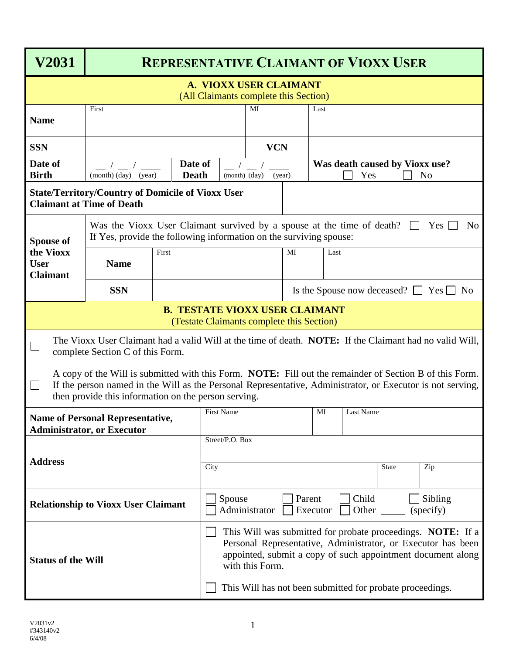| <b>V2031</b>                                                                                                                                                                                                                                                                            | <b>REPRESENTATIVE CLAIMANT OF VIOXX USER</b>                                                                                                                                         |       |                                                                                                                                                                                                               |            |  |                                                         |              |     |  |  |  |
|-----------------------------------------------------------------------------------------------------------------------------------------------------------------------------------------------------------------------------------------------------------------------------------------|--------------------------------------------------------------------------------------------------------------------------------------------------------------------------------------|-------|---------------------------------------------------------------------------------------------------------------------------------------------------------------------------------------------------------------|------------|--|---------------------------------------------------------|--------------|-----|--|--|--|
| A. VIOXX USER CLAIMANT<br>(All Claimants complete this Section)                                                                                                                                                                                                                         |                                                                                                                                                                                      |       |                                                                                                                                                                                                               |            |  |                                                         |              |     |  |  |  |
| <b>Name</b>                                                                                                                                                                                                                                                                             | First                                                                                                                                                                                |       |                                                                                                                                                                                                               | MI         |  | Last                                                    |              |     |  |  |  |
| <b>SSN</b>                                                                                                                                                                                                                                                                              |                                                                                                                                                                                      |       |                                                                                                                                                                                                               | <b>VCN</b> |  |                                                         |              |     |  |  |  |
| Date of<br><b>Birth</b>                                                                                                                                                                                                                                                                 | Date of<br><b>Death</b><br>(month) (day)<br>(year)                                                                                                                                   |       | (month) (day)                                                                                                                                                                                                 | (year)     |  | Was death caused by Vioxx use?<br>Yes<br>N <sub>0</sub> |              |     |  |  |  |
|                                                                                                                                                                                                                                                                                         | <b>State/Territory/Country of Domicile of Vioxx User</b><br><b>Claimant at Time of Death</b>                                                                                         |       |                                                                                                                                                                                                               |            |  |                                                         |              |     |  |  |  |
| <b>Spouse of</b><br>the Vioxx<br><b>User</b><br><b>Claimant</b>                                                                                                                                                                                                                         | Was the Vioxx User Claimant survived by a spouse at the time of death?<br>$Yes$  <br>N <sub>o</sub><br>$\perp$<br>If Yes, provide the following information on the surviving spouse: |       |                                                                                                                                                                                                               |            |  |                                                         |              |     |  |  |  |
|                                                                                                                                                                                                                                                                                         | <b>Name</b>                                                                                                                                                                          | First | MI<br>Last                                                                                                                                                                                                    |            |  |                                                         |              |     |  |  |  |
|                                                                                                                                                                                                                                                                                         | <b>SSN</b>                                                                                                                                                                           |       |                                                                                                                                                                                                               |            |  | Is the Spouse now deceased? $\Box$ Yes $\Box$ No        |              |     |  |  |  |
| <b>B. TESTATE VIOXX USER CLAIMANT</b><br>(Testate Claimants complete this Section)                                                                                                                                                                                                      |                                                                                                                                                                                      |       |                                                                                                                                                                                                               |            |  |                                                         |              |     |  |  |  |
| The Vioxx User Claimant had a valid Will at the time of death. <b>NOTE:</b> If the Claimant had no valid Will,<br>complete Section C of this Form.                                                                                                                                      |                                                                                                                                                                                      |       |                                                                                                                                                                                                               |            |  |                                                         |              |     |  |  |  |
| A copy of the Will is submitted with this Form. NOTE: Fill out the remainder of Section B of this Form.<br>If the person named in the Will as the Personal Representative, Administrator, or Executor is not serving,<br>$\Box$<br>then provide this information on the person serving. |                                                                                                                                                                                      |       |                                                                                                                                                                                                               |            |  |                                                         |              |     |  |  |  |
| <b>Name of Personal Representative,</b>                                                                                                                                                                                                                                                 |                                                                                                                                                                                      |       | First Name                                                                                                                                                                                                    |            |  | MI                                                      | Last Name    |     |  |  |  |
| <b>Administrator, or Executor</b>                                                                                                                                                                                                                                                       |                                                                                                                                                                                      |       | Street/P.O. Box                                                                                                                                                                                               |            |  |                                                         |              |     |  |  |  |
| <b>Address</b>                                                                                                                                                                                                                                                                          |                                                                                                                                                                                      | City  |                                                                                                                                                                                                               |            |  |                                                         | <b>State</b> | Zip |  |  |  |
| <b>Relationship to Vioxx User Claimant</b>                                                                                                                                                                                                                                              |                                                                                                                                                                                      |       | Child<br>Spouse<br>Sibling<br>Parent<br>Administrator<br>Other<br>Executor<br>(specify)                                                                                                                       |            |  |                                                         |              |     |  |  |  |
| <b>Status of the Will</b>                                                                                                                                                                                                                                                               |                                                                                                                                                                                      |       | This Will was submitted for probate proceedings. NOTE: If a<br>Personal Representative, Administrator, or Executor has been<br>appointed, submit a copy of such appointment document along<br>with this Form. |            |  |                                                         |              |     |  |  |  |
|                                                                                                                                                                                                                                                                                         |                                                                                                                                                                                      |       | This Will has not been submitted for probate proceedings.                                                                                                                                                     |            |  |                                                         |              |     |  |  |  |